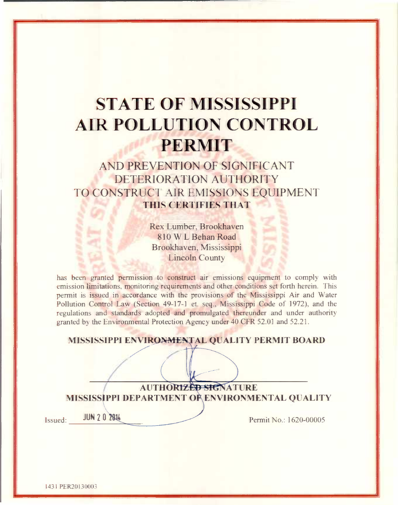# **STATE OF MISSISSIPPI AIR POLLUTION CONTROL PERMIT**

AND PREVENTION OF SIGNIFICANT DETERIORATION AUTHORITY TO CONSTRUCT AIR EMISSIONS EQUIPMENT **THIS CERTIFIES THAT** 

> Rex Lumber, Brookhaven 810 W L Behan Road Brookhaven, Mississippi **Lincoln County**

has been granted permission to construct air emissions equipment to comply with emission limitations, monitoring requirements and other conditions set forth herein. This permit is issued in accordance with the provisions of the Mississippi Air and Water Pollution Control Law (Section 49-17-1 et. seq., Mississippi Code of 1972), and the regulations and standards adopted and promulgated thereunder and under authority granted by the Environmental Protection Agency under 40 CFR 52.01 and 52.21.

| <u>MISSISSIPPI ENVIRONMENTAL QUALITY PERMIT BOARD</u> |                        |
|-------------------------------------------------------|------------------------|
|                                                       |                        |
| <b>AUTHORIZED SIGNATURE</b>                           |                        |
| MISSISSIPPI DEPARTMENT OR ENVIRONMENTAL QUALITY       |                        |
| <b>JUN 20 2814</b><br>Issued:                         | Permit No.: 1620-00005 |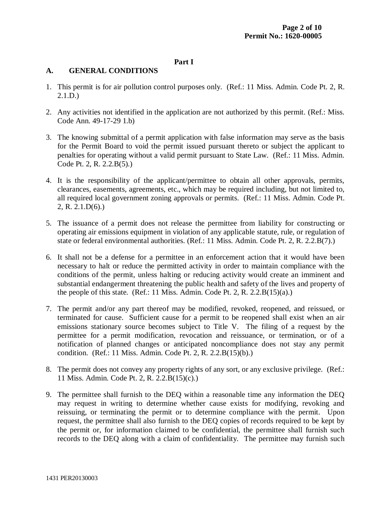## **Part I**

# **A. GENERAL CONDITIONS**

- 1. This permit is for air pollution control purposes only. (Ref.: 11 Miss. Admin. Code Pt. 2, R. 2.1.D.)
- 2. Any activities not identified in the application are not authorized by this permit. (Ref.: Miss. Code Ann. 49-17-29 1.b)
- 3. The knowing submittal of a permit application with false information may serve as the basis for the Permit Board to void the permit issued pursuant thereto or subject the applicant to penalties for operating without a valid permit pursuant to State Law. (Ref.: 11 Miss. Admin. Code Pt. 2, R. 2.2.B(5).)
- 4. It is the responsibility of the applicant/permittee to obtain all other approvals, permits, clearances, easements, agreements, etc., which may be required including, but not limited to, all required local government zoning approvals or permits. (Ref.: 11 Miss. Admin. Code Pt. 2, R. 2.1.D(6).)
- 5. The issuance of a permit does not release the permittee from liability for constructing or operating air emissions equipment in violation of any applicable statute, rule, or regulation of state or federal environmental authorities. (Ref.: 11 Miss. Admin. Code Pt. 2, R. 2.2.B(7).)
- 6. It shall not be a defense for a permittee in an enforcement action that it would have been necessary to halt or reduce the permitted activity in order to maintain compliance with the conditions of the permit, unless halting or reducing activity would create an imminent and substantial endangerment threatening the public health and safety of the lives and property of the people of this state. (Ref.: 11 Miss. Admin. Code Pt. 2, R. 2.2. $B(15)(a)$ .)
- 7. The permit and/or any part thereof may be modified, revoked, reopened, and reissued, or terminated for cause. Sufficient cause for a permit to be reopened shall exist when an air emissions stationary source becomes subject to Title V. The filing of a request by the permittee for a permit modification, revocation and reissuance, or termination, or of a notification of planned changes or anticipated noncompliance does not stay any permit condition. (Ref.: 11 Miss. Admin. Code Pt. 2, R. 2.2.B(15)(b).)
- 8. The permit does not convey any property rights of any sort, or any exclusive privilege. (Ref.: 11 Miss. Admin. Code Pt. 2, R. 2.2.B(15)(c).)
- 9. The permittee shall furnish to the DEQ within a reasonable time any information the DEQ may request in writing to determine whether cause exists for modifying, revoking and reissuing, or terminating the permit or to determine compliance with the permit. Upon request, the permittee shall also furnish to the DEQ copies of records required to be kept by the permit or, for information claimed to be confidential, the permittee shall furnish such records to the DEQ along with a claim of confidentiality. The permittee may furnish such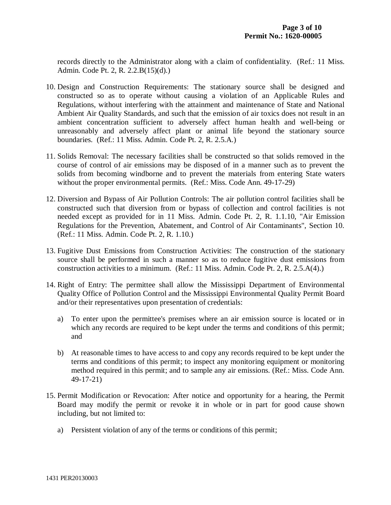records directly to the Administrator along with a claim of confidentiality. (Ref.: 11 Miss. Admin. Code Pt. 2, R. 2.2.B(15)(d).)

- 10. Design and Construction Requirements: The stationary source shall be designed and constructed so as to operate without causing a violation of an Applicable Rules and Regulations, without interfering with the attainment and maintenance of State and National Ambient Air Quality Standards, and such that the emission of air toxics does not result in an ambient concentration sufficient to adversely affect human health and well-being or unreasonably and adversely affect plant or animal life beyond the stationary source boundaries. (Ref.: 11 Miss. Admin. Code Pt. 2, R. 2.5.A.)
- 11. Solids Removal: The necessary facilities shall be constructed so that solids removed in the course of control of air emissions may be disposed of in a manner such as to prevent the solids from becoming windborne and to prevent the materials from entering State waters without the proper environmental permits. (Ref.: Miss. Code Ann. 49-17-29)
- 12. Diversion and Bypass of Air Pollution Controls: The air pollution control facilities shall be constructed such that diversion from or bypass of collection and control facilities is not needed except as provided for in 11 Miss. Admin. Code Pt. 2, R. 1.1.10, "Air Emission Regulations for the Prevention, Abatement, and Control of Air Contaminants", Section 10. (Ref.: 11 Miss. Admin. Code Pt. 2, R. 1.10.)
- 13. Fugitive Dust Emissions from Construction Activities: The construction of the stationary source shall be performed in such a manner so as to reduce fugitive dust emissions from construction activities to a minimum. (Ref.: 11 Miss. Admin. Code Pt. 2, R. 2.5.A(4).)
- 14. Right of Entry: The permittee shall allow the Mississippi Department of Environmental Quality Office of Pollution Control and the Mississippi Environmental Quality Permit Board and/or their representatives upon presentation of credentials:
	- a) To enter upon the permittee's premises where an air emission source is located or in which any records are required to be kept under the terms and conditions of this permit; and
	- b) At reasonable times to have access to and copy any records required to be kept under the terms and conditions of this permit; to inspect any monitoring equipment or monitoring method required in this permit; and to sample any air emissions. (Ref.: Miss. Code Ann. 49-17-21)
- 15. Permit Modification or Revocation: After notice and opportunity for a hearing, the Permit Board may modify the permit or revoke it in whole or in part for good cause shown including, but not limited to:
	- a) Persistent violation of any of the terms or conditions of this permit;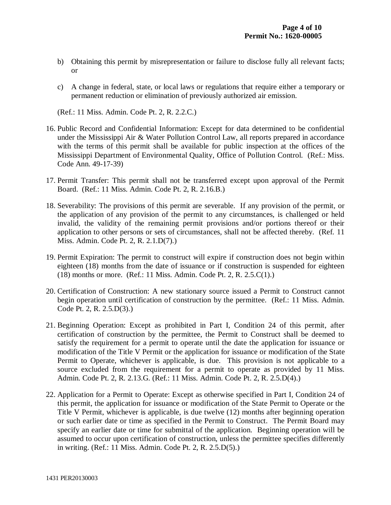- b) Obtaining this permit by misrepresentation or failure to disclose fully all relevant facts; or
- c) A change in federal, state, or local laws or regulations that require either a temporary or permanent reduction or elimination of previously authorized air emission.

(Ref.: 11 Miss. Admin. Code Pt. 2, R. 2.2.C.)

- 16. Public Record and Confidential Information: Except for data determined to be confidential under the Mississippi Air & Water Pollution Control Law, all reports prepared in accordance with the terms of this permit shall be available for public inspection at the offices of the Mississippi Department of Environmental Quality, Office of Pollution Control. (Ref.: Miss. Code Ann. 49-17-39)
- 17. Permit Transfer: This permit shall not be transferred except upon approval of the Permit Board. (Ref.: 11 Miss. Admin. Code Pt. 2, R. 2.16.B.)
- 18. Severability: The provisions of this permit are severable. If any provision of the permit, or the application of any provision of the permit to any circumstances, is challenged or held invalid, the validity of the remaining permit provisions and/or portions thereof or their application to other persons or sets of circumstances, shall not be affected thereby. (Ref. 11 Miss. Admin. Code Pt. 2, R. 2.1.D(7).)
- 19. Permit Expiration: The permit to construct will expire if construction does not begin within eighteen (18) months from the date of issuance or if construction is suspended for eighteen (18) months or more. (Ref.: 11 Miss. Admin. Code Pt. 2, R. 2.5.C(1).)
- 20. Certification of Construction: A new stationary source issued a Permit to Construct cannot begin operation until certification of construction by the permittee. (Ref.: 11 Miss. Admin. Code Pt. 2, R. 2.5.D(3).)
- 21. Beginning Operation: Except as prohibited in Part I, Condition 24 of this permit, after certification of construction by the permittee, the Permit to Construct shall be deemed to satisfy the requirement for a permit to operate until the date the application for issuance or modification of the Title V Permit or the application for issuance or modification of the State Permit to Operate, whichever is applicable, is due. This provision is not applicable to a source excluded from the requirement for a permit to operate as provided by 11 Miss. Admin. Code Pt. 2, R. 2.13.G. (Ref.: 11 Miss. Admin. Code Pt. 2, R. 2.5.D(4).)
- 22. Application for a Permit to Operate: Except as otherwise specified in Part I, Condition 24 of this permit, the application for issuance or modification of the State Permit to Operate or the Title V Permit, whichever is applicable, is due twelve (12) months after beginning operation or such earlier date or time as specified in the Permit to Construct. The Permit Board may specify an earlier date or time for submittal of the application. Beginning operation will be assumed to occur upon certification of construction, unless the permittee specifies differently in writing. (Ref.: 11 Miss. Admin. Code Pt. 2, R. 2.5.D(5).)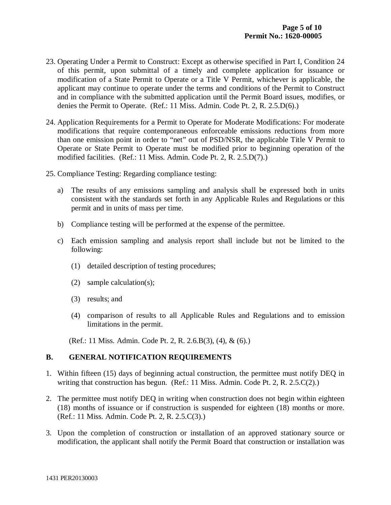- 23. Operating Under a Permit to Construct: Except as otherwise specified in Part I, Condition 24 of this permit, upon submittal of a timely and complete application for issuance or modification of a State Permit to Operate or a Title V Permit, whichever is applicable, the applicant may continue to operate under the terms and conditions of the Permit to Construct and in compliance with the submitted application until the Permit Board issues, modifies, or denies the Permit to Operate. (Ref.: 11 Miss. Admin. Code Pt. 2, R. 2.5.D(6).)
- 24. Application Requirements for a Permit to Operate for Moderate Modifications: For moderate modifications that require contemporaneous enforceable emissions reductions from more than one emission point in order to "net" out of PSD/NSR, the applicable Title V Permit to Operate or State Permit to Operate must be modified prior to beginning operation of the modified facilities. (Ref.: 11 Miss. Admin. Code Pt. 2, R. 2.5.D(7).)
- 25. Compliance Testing: Regarding compliance testing:
	- a) The results of any emissions sampling and analysis shall be expressed both in units consistent with the standards set forth in any Applicable Rules and Regulations or this permit and in units of mass per time.
	- b) Compliance testing will be performed at the expense of the permittee.
	- c) Each emission sampling and analysis report shall include but not be limited to the following:
		- (1) detailed description of testing procedures;
		- (2) sample calculation(s);
		- (3) results; and
		- (4) comparison of results to all Applicable Rules and Regulations and to emission limitations in the permit.

(Ref.: 11 Miss. Admin. Code Pt. 2, R. 2.6.B(3), (4), & (6).)

# **B. GENERAL NOTIFICATION REQUIREMENTS**

- 1. Within fifteen (15) days of beginning actual construction, the permittee must notify DEQ in writing that construction has begun. (Ref.: 11 Miss. Admin. Code Pt. 2, R. 2.5.C(2).)
- 2. The permittee must notify DEQ in writing when construction does not begin within eighteen (18) months of issuance or if construction is suspended for eighteen (18) months or more. (Ref.: 11 Miss. Admin. Code Pt. 2, R. 2.5.C(3).)
- 3. Upon the completion of construction or installation of an approved stationary source or modification, the applicant shall notify the Permit Board that construction or installation was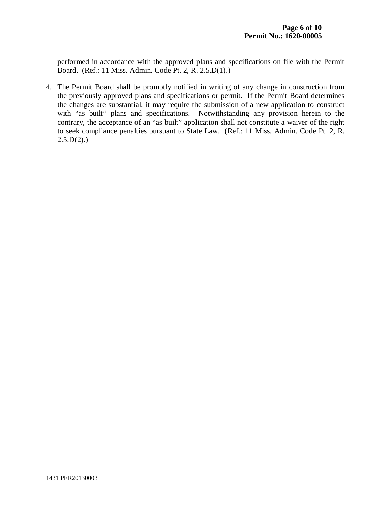performed in accordance with the approved plans and specifications on file with the Permit Board. (Ref.: 11 Miss. Admin. Code Pt. 2, R. 2.5.D(1).)

4. The Permit Board shall be promptly notified in writing of any change in construction from the previously approved plans and specifications or permit. If the Permit Board determines the changes are substantial, it may require the submission of a new application to construct with "as built" plans and specifications. Notwithstanding any provision herein to the contrary, the acceptance of an "as built" application shall not constitute a waiver of the right to seek compliance penalties pursuant to State Law. (Ref.: 11 Miss. Admin. Code Pt. 2, R.  $2.5.D(2).$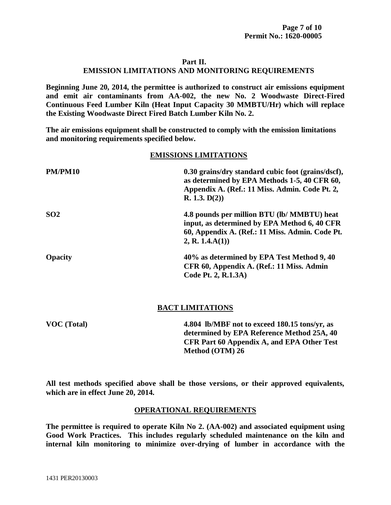#### **Part II.**

# **EMISSION LIMITATIONS AND MONITORING REQUIREMENTS**

**Beginning June 20, 2014, the permittee is authorized to construct air emissions equipment and emit air contaminants from AA-002, the new No. 2 Woodwaste Direct-Fired Continuous Feed Lumber Kiln (Heat Input Capacity 30 MMBTU/Hr) which will replace the Existing Woodwaste Direct Fired Batch Lumber Kiln No. 2.**

**The air emissions equipment shall be constructed to comply with the emission limitations and monitoring requirements specified below.**

## **EMISSIONS LIMITATIONS**

| PM/PM10        | 0.30 grains/dry standard cubic foot (grains/dscf),<br>as determined by EPA Methods 1-5, 40 CFR 60,<br>Appendix A. (Ref.: 11 Miss. Admin. Code Pt. 2,<br>R. 1.3. D(2) |
|----------------|----------------------------------------------------------------------------------------------------------------------------------------------------------------------|
| <b>SO2</b>     | 4.8 pounds per million BTU (lb/ MMBTU) heat<br>input, as determined by EPA Method 6, 40 CFR<br>60, Appendix A. (Ref.: 11 Miss. Admin. Code Pt.<br>2, R. 1.4.A(1)     |
| <b>Opacity</b> | 40% as determined by EPA Test Method 9, 40<br>CFR 60, Appendix A. (Ref.: 11 Miss. Admin<br>Code Pt. 2, R.1.3A)                                                       |

# **BACT LIMITATIONS**

| <b>VOC</b> (Total) | 4.804 lb/MBF not to exceed 180.15 tons/yr, as     |
|--------------------|---------------------------------------------------|
|                    | determined by EPA Reference Method 25A, 40        |
|                    | <b>CFR Part 60 Appendix A, and EPA Other Test</b> |
|                    | Method (OTM) 26                                   |

**All test methods specified above shall be those versions, or their approved equivalents, which are in effect June 20, 2014.**

## **OPERATIONAL REQUIREMENTS**

**The permittee is required to operate Kiln No 2. (AA-002) and associated equipment using Good Work Practices. This includes regularly scheduled maintenance on the kiln and internal kiln monitoring to minimize over-drying of lumber in accordance with the**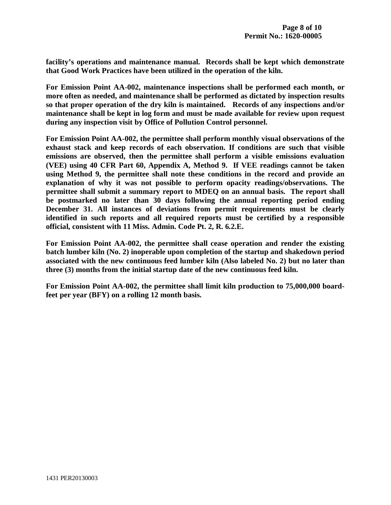**facility's operations and maintenance manual. Records shall be kept which demonstrate that Good Work Practices have been utilized in the operation of the kiln.** 

**For Emission Point AA-002, maintenance inspections shall be performed each month, or more often as needed, and maintenance shall be performed as dictated by inspection results so that proper operation of the dry kiln is maintained. Records of any inspections and/or maintenance shall be kept in log form and must be made available for review upon request during any inspection visit by Office of Pollution Control personnel.**

**For Emission Point AA-002, the permittee shall perform monthly visual observations of the exhaust stack and keep records of each observation. If conditions are such that visible emissions are observed, then the permittee shall perform a visible emissions evaluation (VEE) using 40 CFR Part 60, Appendix A, Method 9. If VEE readings cannot be taken using Method 9, the permittee shall note these conditions in the record and provide an explanation of why it was not possible to perform opacity readings/observations. The permittee shall submit a summary report to MDEQ on an annual basis. The report shall be postmarked no later than 30 days following the annual reporting period ending December 31. All instances of deviations from permit requirements must be clearly identified in such reports and all required reports must be certified by a responsible official, consistent with 11 Miss. Admin. Code Pt. 2, R. 6.2.E.**

**For Emission Point AA-002, the permittee shall cease operation and render the existing batch lumber kiln (No. 2) inoperable upon completion of the startup and shakedown period associated with the new continuous feed lumber kiln (Also labeled No. 2) but no later than three (3) months from the initial startup date of the new continuous feed kiln.**

**For Emission Point AA-002, the permittee shall limit kiln production to 75,000,000 boardfeet per year (BFY) on a rolling 12 month basis.**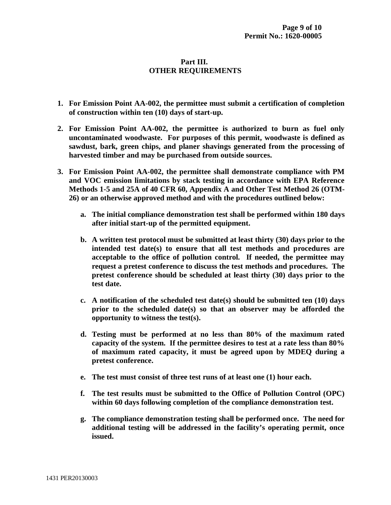## **Part III. OTHER REQUIREMENTS**

- **1. For Emission Point AA-002, the permittee must submit a certification of completion of construction within ten (10) days of start-up.**
- **2. For Emission Point AA-002, the permittee is authorized to burn as fuel only uncontaminated woodwaste. For purposes of this permit, woodwaste is defined as sawdust, bark, green chips, and planer shavings generated from the processing of harvested timber and may be purchased from outside sources.**
- **3. For Emission Point AA-002, the permittee shall demonstrate compliance with PM and VOC emission limitations by stack testing in accordance with EPA Reference Methods 1-5 and 25A of 40 CFR 60, Appendix A and Other Test Method 26 (OTM-26) or an otherwise approved method and with the procedures outlined below:**
	- **a. The initial compliance demonstration test shall be performed within 180 days after initial start-up of the permitted equipment.**
	- **b. A written test protocol must be submitted at least thirty (30) days prior to the intended test date(s) to ensure that all test methods and procedures are acceptable to the office of pollution control. If needed, the permittee may request a pretest conference to discuss the test methods and procedures. The pretest conference should be scheduled at least thirty (30) days prior to the test date.**
	- **c. A notification of the scheduled test date(s) should be submitted ten (10) days prior to the scheduled date(s) so that an observer may be afforded the opportunity to witness the test(s).**
	- **d. Testing must be performed at no less than 80% of the maximum rated capacity of the system. If the permittee desires to test at a rate less than 80% of maximum rated capacity, it must be agreed upon by MDEQ during a pretest conference.**
	- **e. The test must consist of three test runs of at least one (1) hour each.**
	- **f. The test results must be submitted to the Office of Pollution Control (OPC) within 60 days following completion of the compliance demonstration test.**
	- **g. The compliance demonstration testing shall be performed once. The need for additional testing will be addressed in the facility's operating permit, once issued.**